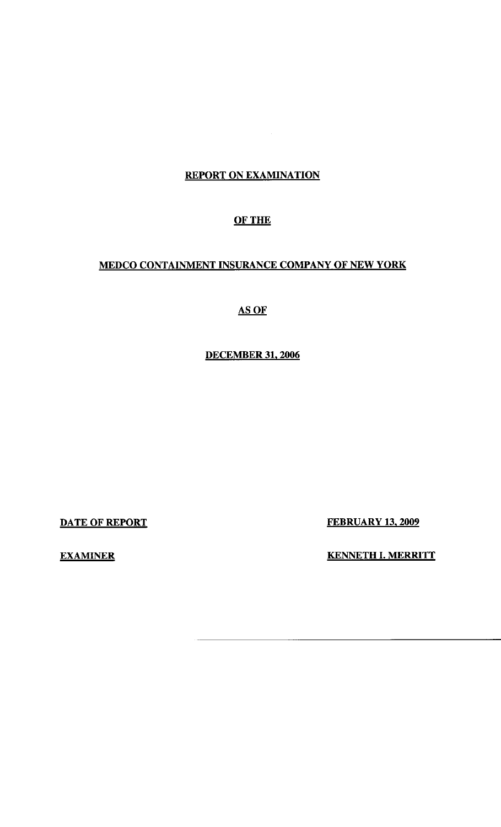### REPORT ON EXAMINATION

 $\mathcal{O}(\frac{1}{2})$ 

## OF THE

# MEDCO CONTAINMENT INSURANCE COMPANY OF NEW YORK

### AS OF

# DECEMBER 31, 2006

DATE OF REPORT FEBRUARY 13, 2009

EXAMINER KENNETH I. MERRITT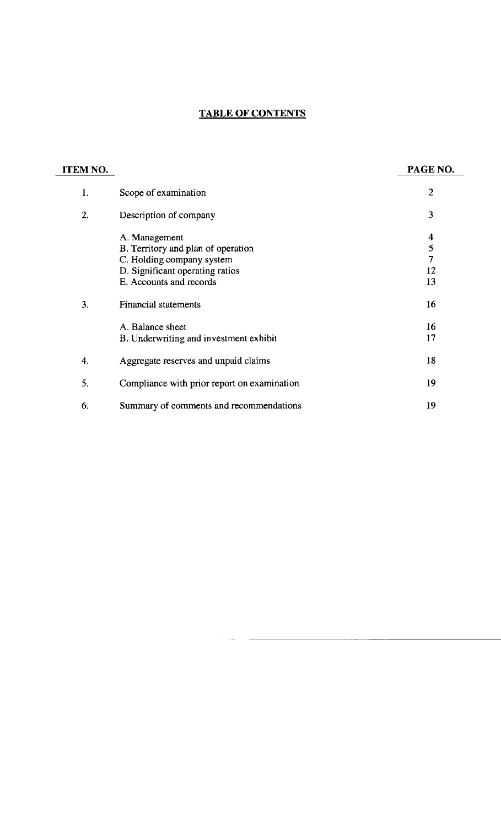# **TABLE OF CONTENTS**

| ITEM NO. |                                             | PAGE NO.       |
|----------|---------------------------------------------|----------------|
| 1.       | Scope of examination                        | $\mathbf{2}$   |
| 2.       | Description of company                      | 3              |
|          | A. Management                               | 4              |
|          | B. Territory and plan of operation          | 5              |
|          | C. Holding company system                   | $\overline{7}$ |
|          | D. Significant operating ratios             | 12             |
|          | E. Accounts and records                     | 13             |
| 3.       | <b>Financial statements</b>                 | 16             |
|          | A. Balance sheet                            | 16             |
|          | B. Underwriting and investment exhibit      | 17             |
| 4.       | Aggregate reserves and unpaid claims        | 18             |
| 5.       | Compliance with prior report on examination | 19             |
| 6.       | Summary of comments and recommendations     | 19             |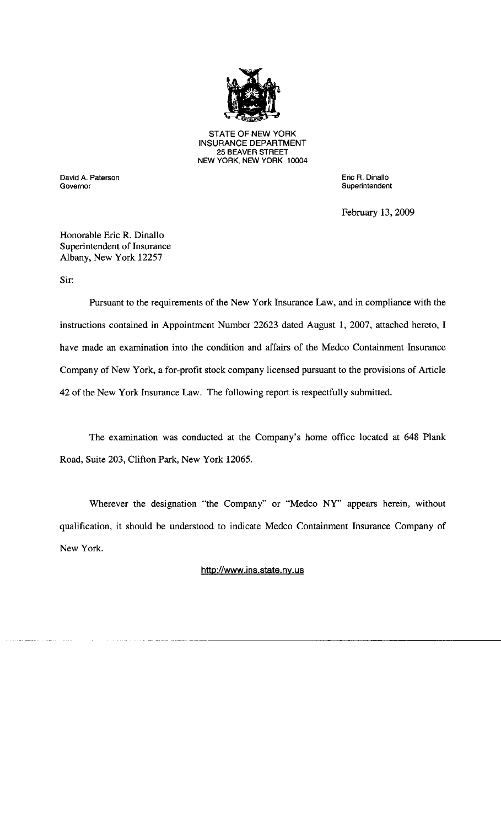

STATE OF NEW YORK INSURANCE DEPARTMENT 25 BEAVER STREET NEW YORK, NEW YORK 10004

David A. Paterson Eric R. Dinallo

**Superintendent** 

February 13, 2009

Honorable Eric R. Dinallo Superintendent of Insurance Albany, New York 12257

Sir:

Pursuant to the requirements of the New York Insurance Law, and in compliance with the instructions contained in Appointment Number 22623 dated August 1, 2007, attached hereto, I have made an examination into the condition and affairs of the Medco Containment Insurance Company of New York, a for-profit stock company licensed pursuant to the provisions of Article 42 of the New York Insurance Law. The following report is respectfully submitted.

The examination was conducted at the Company's home office located at 648 Plank Road, Suite 203, Clifton Park, New York 12065.

Wherever the designation "the Company" or "Medco NY" appears herein, without qualification, it should be understood to indicate Medco Containment Insurance Company of New York.

<http://www.ins.state.ny.us>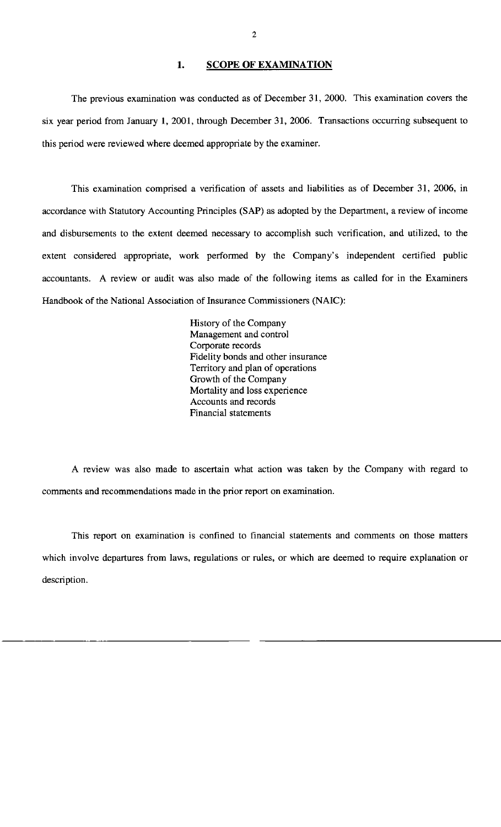#### 1. SCOPE OF EXAMINATION

The previous examination was conducted as of December 31, 2000. This examination covers the six year period from January **1,** 2001, through December 31, 2006. Transactions occurring subsequent to this period were reviewed where deemed appropriate by the examiner.

This examination comprised a verification of assets and liabilities as of December 31, 2006, in accordance with Statutory Accounting Principles (SAP) as adopted by the Department, a review of income and disbursements to the extent deemed necessary to accomplish such verification, and utilized, to the extent considered appropriate, work performed by the Company's independent certified public accountants. A review or audit was also made of the following items as called for in the Examiners Handbook of the National Association of Insurance Commissioners (NAIC):

> History of the Company Management and control Corporate records Fidelity bonds and other insurance Territory and plan of operations Growth of the Company Mortality and Joss experience Accounts and records Financial statements

A review was also made to ascertain what action was taken by the Company with regard to comments and recommendations made in the prior report on examination.

This report on examination is confined to financial statements and comments on those matters which involve departures from laws, regulations or rules, or which are deemed to require explanation or description.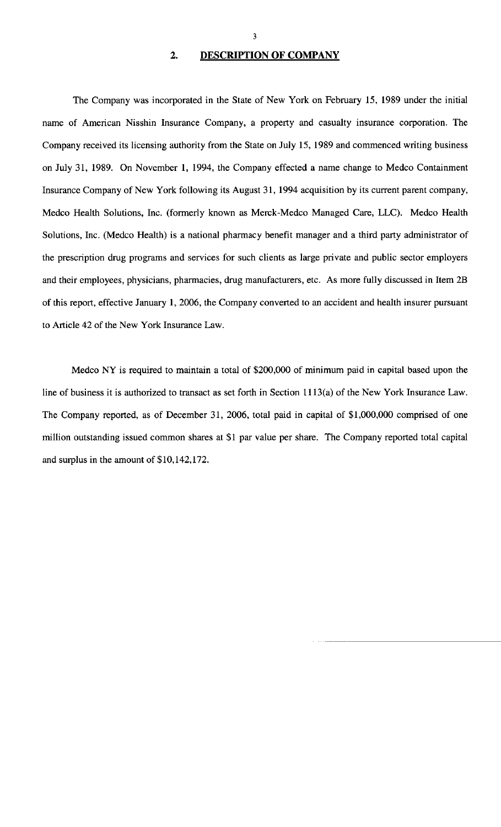#### **2. DESCRIPTION OF COMPANY**

The Company was incorporated in the State of New York on February 15, 1989 under the initial name of American Nisshin Insurance Company, a property and casualty insurance corporation. The Company received its licensing authority from the State on July 15, 1989 and commenced writing business on July 31, 1989. On November 1, 1994, the Company effected a name change to Medco Containment Insurance Company of New York following its August 31, 1994 acquisition by its current parent company, Medco Health Solutions, Inc. (formerly known as Merck-Medco Managed Care, LLC). Medco Health Solutions, Inc. (Medco Health) is a national pharmacy benefit manager and a third party administrator of the prescription drug programs and services for such clients as large private and public sector employers and their employees, physicians, pharmacies, drug manufacturers, etc. As more fully discussed in Item 2B of this report, effective January **1,** 2006, the Company converted to an accident and health insurer pursuant to Article 42 of the New York Insurance Law.

Medco NY is required to maintain a total of \$200,000 of minimum paid in capital based upon the line of business it is authorized to transact as set forth in Section 1113(a) of the New York Insurance Law. The Company reported, as of December 31, 2006, total paid in capital of \$1,000,000 comprised of one million outstanding issued common shares at \$1 par value per share. The Company reported total capital and surplus in the amount of \$10,142,172.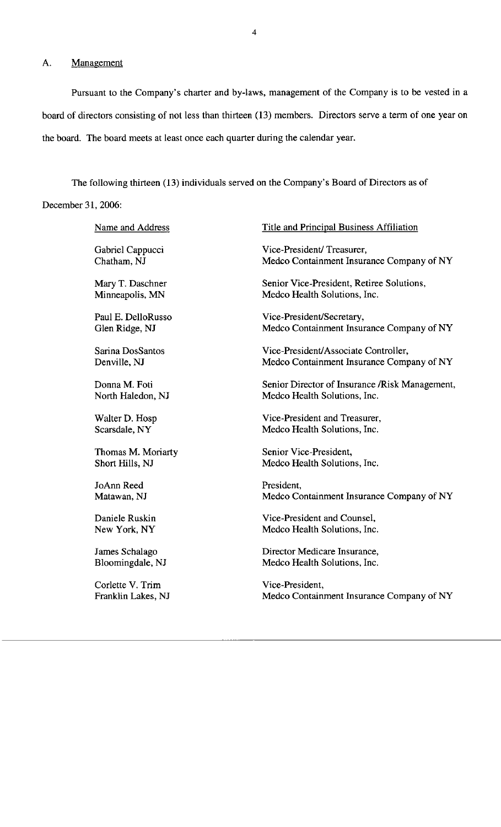### A. Management

Pursuant to the Company's charter and by-laws, management of the Company is to be vested in a board of directors consisting of not less than thirteen (13) members. Directors serve a term of one year on the board. The board meets at least once each quarter during the calendar year.

The following thirteen (13) individuals served on the Company's Board of Directors as of December 31, 2006:

| Name and Address   | <b>Title and Principal Business Affiliation</b> |
|--------------------|-------------------------------------------------|
| Gabriel Cappucci   | Vice-President/Treasurer,                       |
| Chatham, NJ        | Medco Containment Insurance Company of NY       |
| Mary T. Daschner   | Senior Vice-President, Retiree Solutions,       |
| Minneapolis, MN    | Medco Health Solutions, Inc.                    |
| Paul E. DelloRusso | Vice-President/Secretary,                       |
| Glen Ridge, NJ     | Medco Containment Insurance Company of NY       |
| Sarina DosSantos   | Vice-President/Associate Controller,            |
| Denville, NJ       | Medco Containment Insurance Company of NY       |
| Donna M. Foti      | Senior Director of Insurance / Risk Management, |
| North Haledon, NJ  | Medco Health Solutions, Inc.                    |
| Walter D. Hosp     | Vice-President and Treasurer,                   |
| Scarsdale, NY      | Medco Health Solutions, Inc.                    |
| Thomas M. Moriarty | Senior Vice-President,                          |
| Short Hills, NJ    | Medco Health Solutions, Inc.                    |
| JoAnn Reed         | President,                                      |
| Matawan, NJ        | Medco Containment Insurance Company of NY       |
| Daniele Ruskin     | Vice-President and Counsel,                     |
| New York, NY       | Medco Health Solutions, Inc.                    |
| James Schalago     | Director Medicare Insurance,                    |
| Bloomingdale, NJ   | Medco Health Solutions, Inc.                    |
| Corlette V. Trim   | Vice-President,                                 |
| Franklin Lakes, NJ | Medco Containment Insurance Company of NY       |
|                    |                                                 |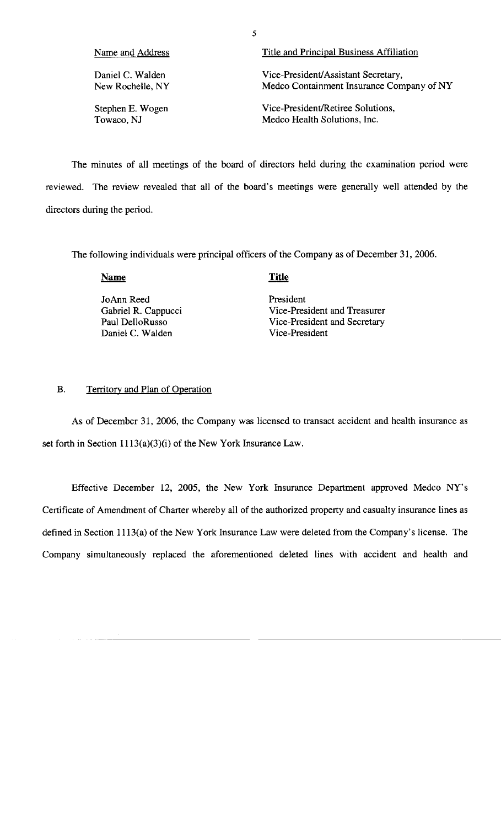| Name and Address | Title and Principal Business Affiliation  |
|------------------|-------------------------------------------|
| Daniel C. Walden | Vice-President/Assistant Secretary,       |
| New Rochelle, NY | Medco Containment Insurance Company of NY |
| Stephen E. Wogen | Vice-President/Retiree Solutions.         |
| Towaco, NJ       | Medco Health Solutions, Inc.              |

The minutes of all meetings of the board of directors held during the examination period were reviewed. The review revealed that all of the board's meetings were generally well attended by the directors during the period.

The following individuals were principal officers of the Company as of December 31, 2006.

**Name** 

#### **Title**

JoAnn Reed President<br>Gabriel R. Cappucci Vice-Pres Vice-President and Treasurer Paul DelloRusso<br>
Daniel C. Walden<br>
Vice-President<br>
Vice-President Daniel C. Walden

#### B. Territory and Plan of Operation

As of December 31, 2006, the Company was licensed to transact accident and health insurance as set forth in Section 1113(a)(3)(i) of the New York Insurance Law.

Effective December 12, 2005, the New York Insurance Department approved Medco NY's Certificate of Amendment of Charter whereby all of the authorized property and casualty insurance lines as defined in Section 1113(a) of the New York Insurance Law were deleted from the Company's license. The Company simultaneously replaced the aforementioned deleted lines with accident and health and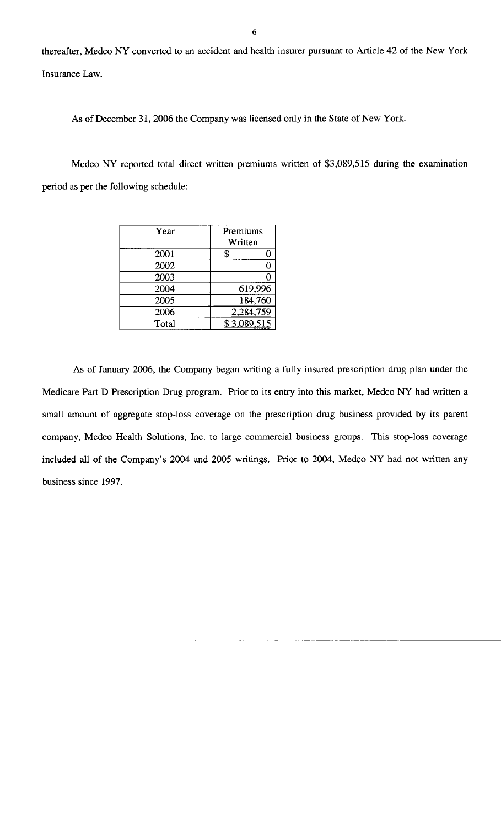thereafter, Medco NY converted to an accident and health insurer pursuant to Article 42 of the New York Insurance Law.

As of December 31, 2006 the Company was licensed only in the State of New York.

Medco NY reported total direct written premiums written of \$3,089,515 during the examination period as per the following schedule:

| Year  | Premiums<br>Written |
|-------|---------------------|
| 2001  |                     |
| 2002  | 0                   |
| 2003  |                     |
| 2004  | 619,996             |
| 2005  | 184,760             |
| 2006  | 2,284,759           |
| Total | \$3,089,515         |

As of January 2006, the Company began writing a fully insured prescription drug plan under the Medicare Part D Prescription Drug program. Prior to its entry into this market, Medco NY had written a small amount of aggregate stop-loss coverage on the prescription drug business provided by its parent company, Medco Health Solutions, Inc. to large commercial business groups. This stop-loss coverage included all of the Company's 2004 and 2005 writings. Prior to 2004, Medco NY had not written any business since 1997.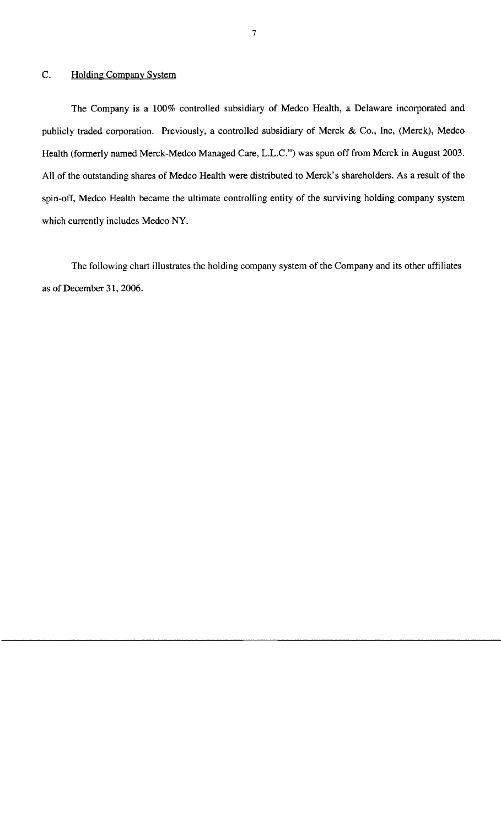#### C. Holding Company System

The Company is a 100% controlled subsidiary of Medco Health, a Delaware incorporated and publicly traded corporation. Previously, a controlled subsidiary of Merck & Co., Inc, (Merck), Medco Health (formerly named Merck-Medco Managed Care, L.L.C.") was spun off from Merck in August 2003. All of the outstanding shares of Medco Health were distributed to Merck's shareholders. As a result of the spin-off, Medco Health became the ultimate controlling entity of the surviving holding company system which currently includes Medco NY.

The following chart illustrates the holding company system of the Company and its other affiliates as of December 31, 2006.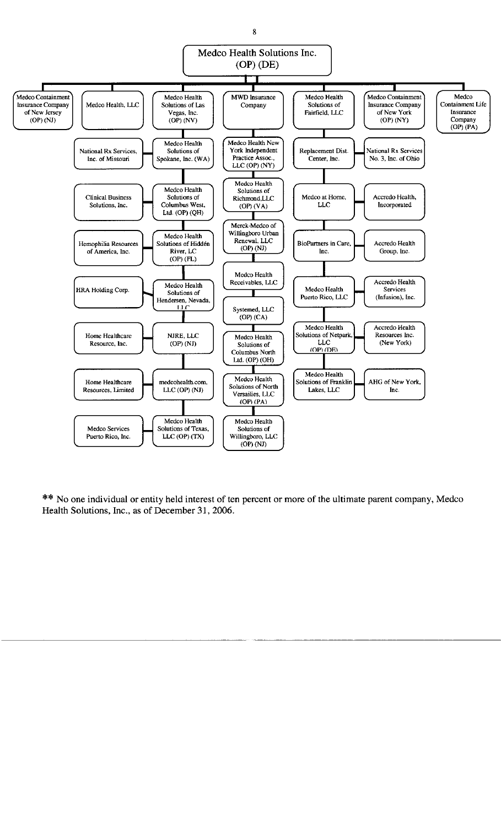

\*\* No one individual or entity held interest of ten percent or more of the ultimate parent company, Medco Health Solutions, Inc., as of December 31, 2006.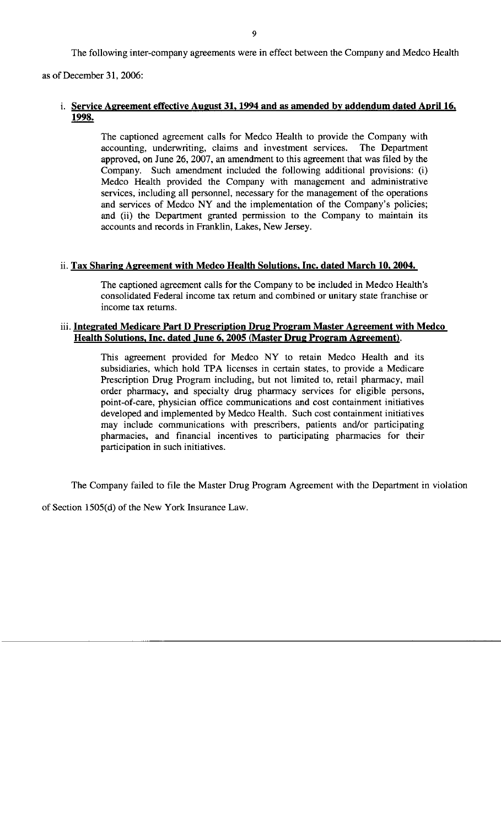The following inter-company agreements were in effect between the Company and Medco Health

as of December 31, 2006:

#### i. **Service Agreement effective August 31, 1994 and as amended by addendum dated April 16, 1998.**

The captioned agreement calls for Medco Health to provide the Company with accounting, underwriting, claims and investment services. The Department approved, on June 26, 2007, an amendment to this agreement that was filed by the Company. Such amendment included the following additional provisions: (i) Medco Health provided the Company with management and administrative services, including all personnel, necessary for the management of the operations and services of Medco NY and the implementation of the Company's policies; and (ii) the Department granted permission to the Company to maintain its accounts and records in Franklin, Lakes, New Jersey.

#### ii. **Tax Sharing Agreement with Medco Health Solutions, Inc. dated March 10, 2004.**

The captioned agreement calls for the Company to be included in Medco Health's consolidated Federal income tax return and combined or unitary state franchise or income tax returns.

#### iii. **Integrated Medicare Part D Prescription Drug Program Master Agreement with Medco Health Solutions, Inc. dated June 6, 2005 (Master Drug Program Agreement}.**

This agreement provided for Medco NY to retain Medco Health and its subsidiaries, which hold TPA licenses in certain states, to provide a Medicare Prescription Drug Program including, but not limited to, retail pharmacy, mail order pharmacy, and specialty drug pharmacy services for eligible persons, point-of-care, physician office communications and cost containment initiatives developed and implemented by Medco Health. Such cost containment initiatives may include communications with prescribers, patients and/or participating pharmacies, and financial incentives to participating pharmacies for their participation in such initiatives.

The Company failed to file the Master Drug Program Agreement with the Department in violation

of Section 1505(d) of the New York Insurance Law.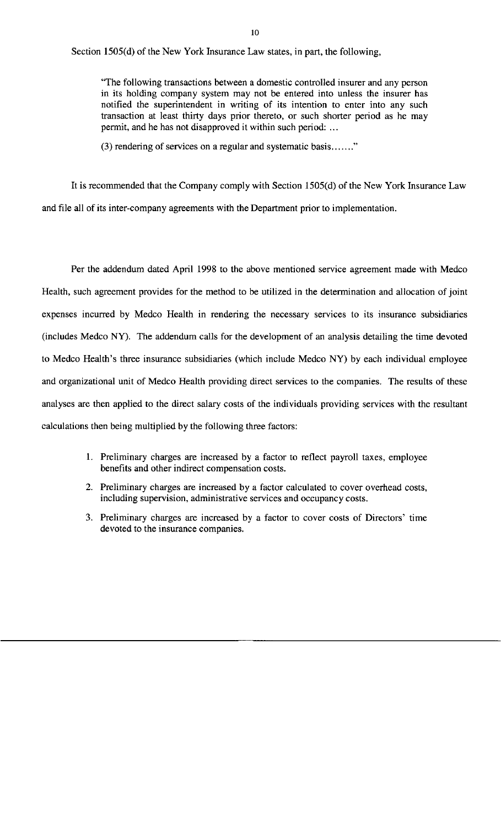Section 1505(d) of the New York Insurance Law states, in part, the following,

"The following transactions between a domestic controlled insurer and any person in its holding company system may not be entered into unless the insurer has notified the superintendent in writing of its intention to enter into any such transaction at least thirty days prior thereto, or such shorter period as he may permit, and he has not disapproved it within such period: ...

(3) rendering of services on a regular and systematic basis ......."

It is recommended that the Company comply with Section 1505(d) of the New York Insurance Law and file all of its inter-company agreements with the Department prior to implementation.

Per the addendum dated April 1998 to the above mentioned service agreement made with Medco Health, such agreement provides for the method to be utilized in the determination and allocation of joint expenses incurred by Medco Health in rendering the necessary services to its insurance subsidiaries (includes Medco **NY).** The addendum calls for the development of an analysis detailing the time devoted to Medco Health's three insurance subsidiaries (which include Medco NY) by each individual employee and organizational unit of Medco Health providing direct services to the companies. The results of these analyses are then applied to the direct salary costs of the individuals providing services with the resultant calculations then being multiplied by the following three factors:

- 1. Preliminary charges are increased by a factor to reflect payroll taxes, employee benefits and other indirect compensation costs.
- 2. Preliminary charges are increased by a factor calculated to cover overhead costs, including supervision, administrative services and occupancy costs.
- 3. Preliminary charges are increased by a factor to cover costs of Directors' time devoted to the insurance companies.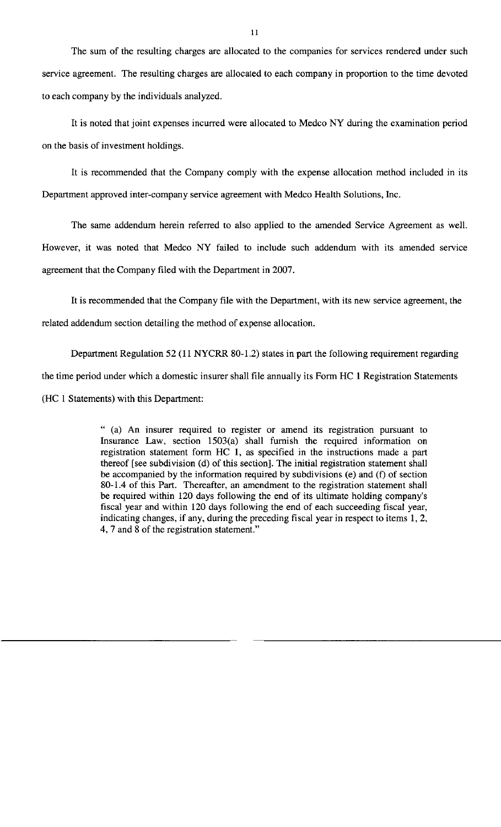The sum of the resulting charges are allocated to the companies for services rendered under such service agreement. The resulting charges are allocated to each company in proportion to the time devoted to each company by the individuals analyzed.

It is noted that joint expenses incurred were allocated to Medco NY during the examination period on the basis of investment holdings.

It is recommended that the Company comply with the expense allocation method included in its Department approved inter-company service agreement with Medco Health Solutions, Inc.

The same addendum herein referred to also applied to the amended Service Agreement as well. However, it was noted that Medco NY failed to include such addendum with its amended service agreement that the Company filed with the Department in 2007.

It is recommended that the Company file with the Department, with its new service agreement, the related addendum section detailing the method of expense allocation.

Department Regulation 52 (11 NYCRR 80-1.2) states in part the following requirement regarding the time period under which a domestic insurer shall file annually its Form HC 1 Registration Statements (HC 1 Statements) with this Department:

> " (a) An insurer required to register or amend its registration pursuant to Insurance Law, section 1503(a) shall furnish the required information on registration statement form HC 1, as specified in the instructions made a part thereof [see subdivision (d) of this section]. The initial registration statement shall be accompanied by the information required by subdivisions (e) and (f) of section 80-1.4 of this Part. Thereafter, an amendment to the registration statement shall be required within 120 days following the end of its ultimate holding company's fiscal year and within 120 days following the end of each succeeding fiscal year, indicating changes, if any, during the preceding fiscal year in respect to items 1, 2, 4, 7 and 8 of the registration statement."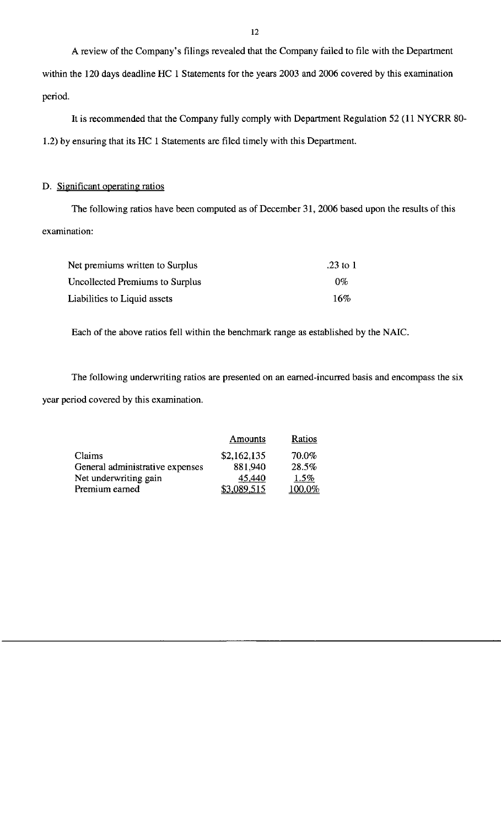A review of the Company's filings revealed that the Company failed to file with the Department within the 120 days deadline HC 1 Statements for the years 2003 and 2006 covered by this examination period.

It is recommended that the Company fully comply with Department Regulation 52 (11 NYCRR 80- 1.2) by ensuring that its HC 1 Statements are filed timely with this Department.

### D. Significant operating ratios

The following ratios have been computed as of December 31, 2006 based upon the results of this examination:

| Net premiums written to Surplus | .23 to $1$ |
|---------------------------------|------------|
| Uncollected Premiums to Surplus | በ%         |
| Liabilities to Liquid assets    | 16%        |

Each of the above ratios fell within the benchmark range as established by the **NAIC.** 

The following underwriting ratios are presented on an earned-incurred basis and encompass the six year period covered by this examination.

|                                 | Amounts     | Ratios |
|---------------------------------|-------------|--------|
| Claims                          | \$2,162,135 | 70.0%  |
| General administrative expenses | 881.940     | 28.5%  |
| Net underwriting gain           | 45,440      | 1.5%   |
| Premium earned                  | \$3,089,515 | 100.0% |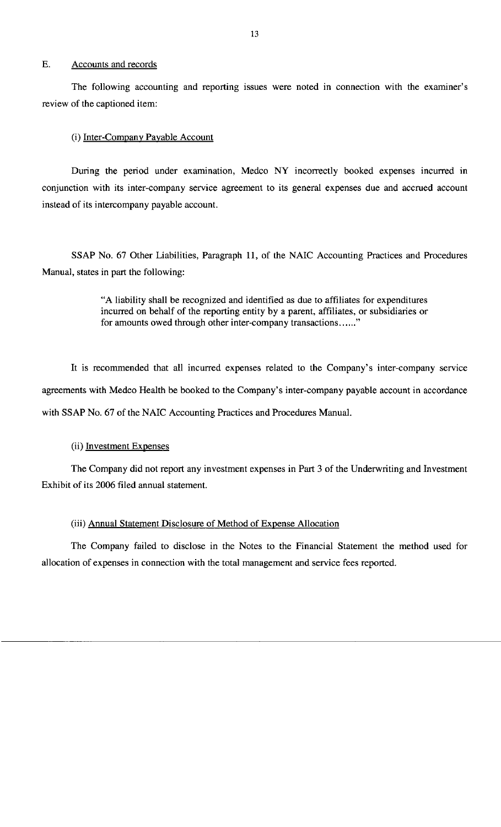#### E. Accounts and records

The following accounting and reporting issues were noted in connection with the examiner's review of the captioned item:

#### (i) Inter-Company Payable Account

During the period under examination, Medco **NY** incorrectly booked expenses incurred in conjunction with its inter-company service agreement to its general expenses due and accrued account instead of its intercompany payable account.

SSAP No. 67 Other Liabilities, Paragraph 11, of the NAIC Accounting Practices and Procedures Manual, states in part the following:

> "A liability shall be recognized and identified as due to affiliates for expenditures incurred on behalf of the reporting entity by a parent, affiliates, or subsidiaries or for amounts owed through other inter-company transactions......"

It is recommended that all incurred expenses related to the Company's inter-company service agreements with Medco Health be booked to the Company's inter-company payable account in accordance with SSAP No. 67 of the NAIC Accounting Practices and Procedures Manual.

#### (ii) Investment Expenses

The Company did not report any investment expenses in Part 3 of the Underwriting and Investment Exhibit of its 2006 filed annual statement.

#### (iii) Annual Statement Disclosure of Method of Expense Allocation

The Company failed to disclose in the Notes to the Financial Statement the method used for allocation of expenses in connection with the total management and service fees reported.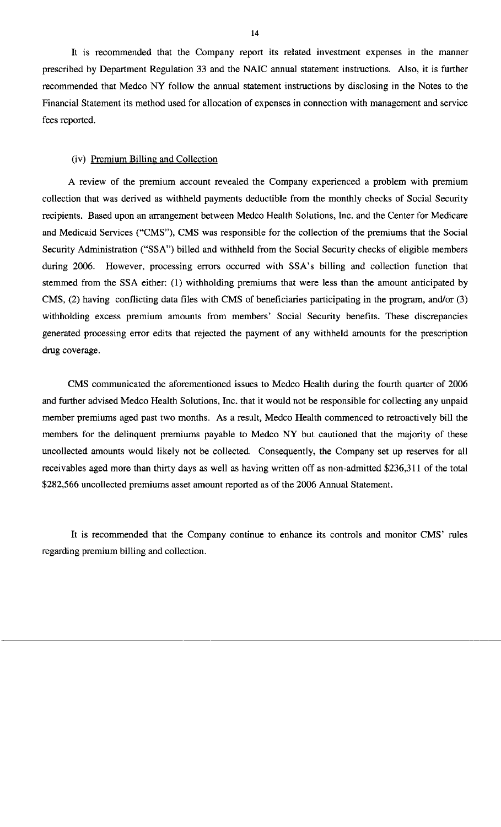It is recommended that the Company report its related investment expenses in the manner prescribed by Department Regulation 33 and the NAIC annual statement instructions. Also, it is further recommended that Medco **NY** follow the annual statement instructions by disclosing in the Notes to the Financial Statement its method used for allocation of expenses in connection with management and service fees reported.

#### (iv) Premium Billing and Collection

A review of the premium account revealed the Company experienced a problem with premium collection that was derived as withheld payments deductible from the monthly checks of Social Security recipients. Based upon an arrangement between Medco Health Solutions, Inc. and the Center for Medicare and Medicaid Services ("CMS"), CMS was responsible for the collection of the premiums that the Social Security Administration ("SSA") billed and withheld from the Social Security checks of eligible members during 2006. However, processing errors occurred with SSA's billing and collection function that stemmed from the SSA either: (1) withholding premiums that were less than the amount anticipated by CMS, (2) having conflicting data files with CMS of beneficiaries participating in the program, and/or (3) withholding excess premium amounts from members' Social Security benefits. These discrepancies generated processing error edits that rejected the payment of any withheld amounts for the prescription drug coverage.

CMS communicated the aforementioned issues to Medco Health during the fourth quarter of 2006 and further advised Medco Health Solutions, Inc. that it would not be responsible for collecting any unpaid member premiums aged past two months. As a result, Medco Health commenced to retroactively bill the members for the delinquent premiums payable to Medco NY but cautioned that the majority of these uncollected amounts would likely not be collected. Consequently, the Company set up reserves for all receivables aged more than thirty days as well as having written off as non-admitted \$236,311 of the total \$282,566 uncollected premiums asset amount reported as of the 2006 Annual Statement.

It is recommended that the Company continue to enhance its controls and monitor **CMS'** rules regarding premium billing and collection.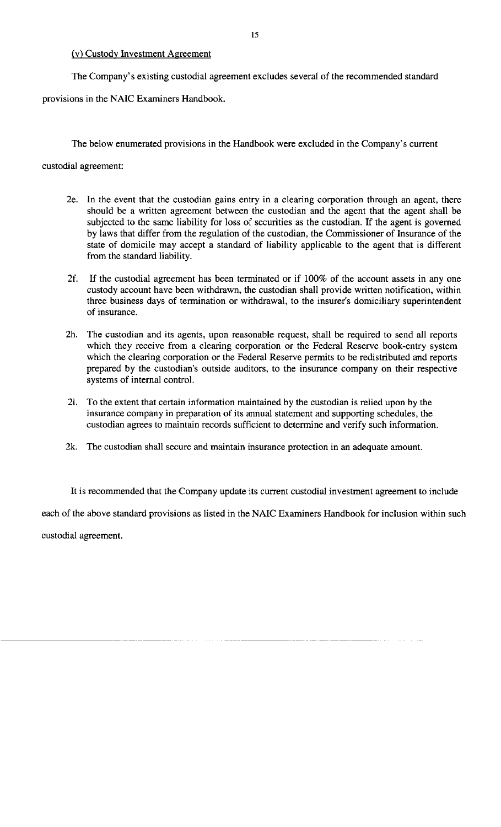#### (v) Custody Investment Agreement

The Company's existing custodial agreement excludes several of the recommended standard provisions in the NAIC Examiners Handbook.

The below enumerated provisions in the Handbook were excluded in the Company's current

custodial agreement:

- 2e. In the event that the custodian gains entry in a clearing corporation through an agent, there should be a written agreement between the custodian and the agent that the agent shall be subjected to the same liability for loss of securities as the custodian. If the agent is governed by laws that differ from the regulation of the custodian, the Commissioner of Insurance of the state of domicile may accept a standard of liability applicable to the agent that is different from the standard liability.
- 2f. If the custodial agreement has been terminated or if 100% of the account assets in any one custody account have been withdrawn, the custodian shall provide written notification, within three business days of termination or withdrawal, to the insurer's domiciliary superintendent of insurance.
- 2h. The custodian and its agents, upon reasonable request, shall be required to send all reports which they receive from a clearing corporation or the Federal Reserve book-entry system which the clearing corporation or the Federal Reserve permits to be redistributed and reports prepared by the custodian's outside auditors, to the insurance company on their respective systems of internal control.
- 2i. To the extent that certain information maintained by the custodian is relied upon by the insurance company in preparation of its annual statement and supporting schedules, the custodian agrees to maintain records sufficient to determine and verify such information.
- 2k. The custodian shall secure and maintain insurance protection in an adequate amount.

It is recommended that the Company update its current custodial investment agreement to include each of the above standard provisions as listed in the NAIC Examiners Handbook for inclusion within such custodial agreement.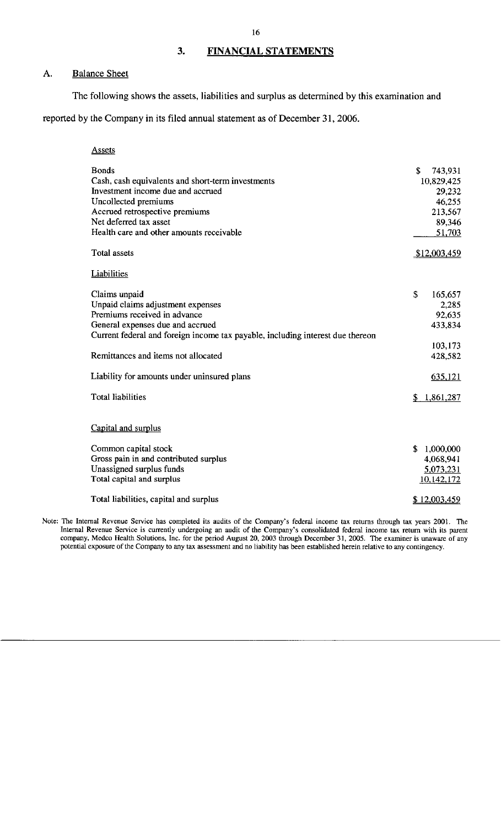### **3. FINANCIAL STATEMENTS**

#### A. Balance Sheet

The following shows the assets, liabilities and surplus as determined by this examination and

reported by the Company in its filed annual statement as of December 31, 2006.

| <b>Assets</b>                                                                  |               |
|--------------------------------------------------------------------------------|---------------|
| <b>Bonds</b>                                                                   | \$<br>743,931 |
| Cash, cash equivalents and short-term investments                              | 10,829,425    |
| Investment income due and accrued                                              | 29,232        |
| Uncollected premiums                                                           | 46,255        |
| Accrued retrospective premiums                                                 | 213,567       |
| Net deferred tax asset                                                         | 89,346        |
| Health care and other amounts receivable                                       | 51,703        |
| <b>Total assets</b>                                                            | \$12,003,459  |
| Liabilities                                                                    |               |
| Claims unpaid                                                                  | \$<br>165,657 |
| Unpaid claims adjustment expenses                                              | 2,285         |
| Premiums received in advance                                                   | 92,635        |
| General expenses due and accrued                                               | 433,834       |
| Current federal and foreign income tax payable, including interest due thereon |               |
|                                                                                | 103,173       |
| Remittances and items not allocated                                            | 428,582       |
| Liability for amounts under uninsured plans                                    | 635,121       |
| <b>Total liabilities</b>                                                       | \$1,861,287   |
| Capital and surplus                                                            |               |
| Common capital stock                                                           | \$1,000,000   |
| Gross pain in and contributed surplus                                          | 4,068,941     |
| Unassigned surplus funds                                                       | 5,073,231     |
| Total capital and surplus                                                      | 10,142,172    |
| Total liabilities, capital and surplus                                         | \$12,003,459  |

**Note: The Internal Revenue Service has completed its audits of the Company's federal income tax returns through tax years 2001. The Internal Revenue Service is currently undergoing an audit of the Company's consolidated federal income tax return with its parent company, Medco Health Solutions, Inc. for the period August 20, 2003 through December 31, 2005. The examiner is unaware of any potential exposure of the Company to any tax assessment and no liability has been established herein relative to any contingency.**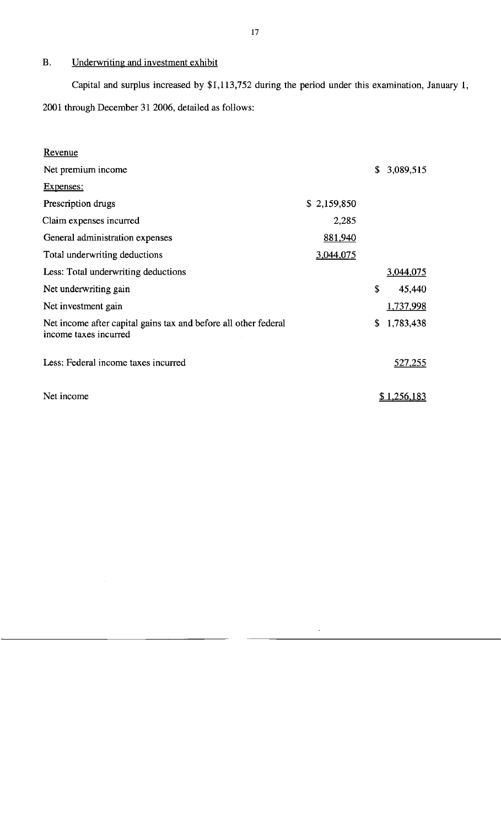### B. Underwriting and investment exhibit

Capital and surplus increased by \$1,113,752 during the period under this examination, January 1, 2001 through December 31 2006, detailed as follows:

| Revenue                                                                                  |             |                    |
|------------------------------------------------------------------------------------------|-------------|--------------------|
| Net premium income                                                                       |             | \$<br>3,089,515    |
| Expenses:                                                                                |             |                    |
| Prescription drugs                                                                       | \$2,159,850 |                    |
| Claim expenses incurred                                                                  | 2,285       |                    |
| General administration expenses                                                          | 881,940     |                    |
| Total underwriting deductions                                                            | 3,044,075   |                    |
| Less: Total underwriting deductions                                                      |             | <u>3,044,075</u>   |
| Net underwriting gain                                                                    |             | \$<br>45,440       |
| Net investment gain                                                                      |             | 1,737,998          |
| Net income after capital gains tax and before all other federal<br>income taxes incurred |             | \$<br>1,783,438    |
| Less: Federal income taxes incurred                                                      |             | <u>527,255</u>     |
| Net income                                                                               |             | <u>\$1,256,183</u> |
|                                                                                          |             |                    |

 $\hat{\boldsymbol{\epsilon}}$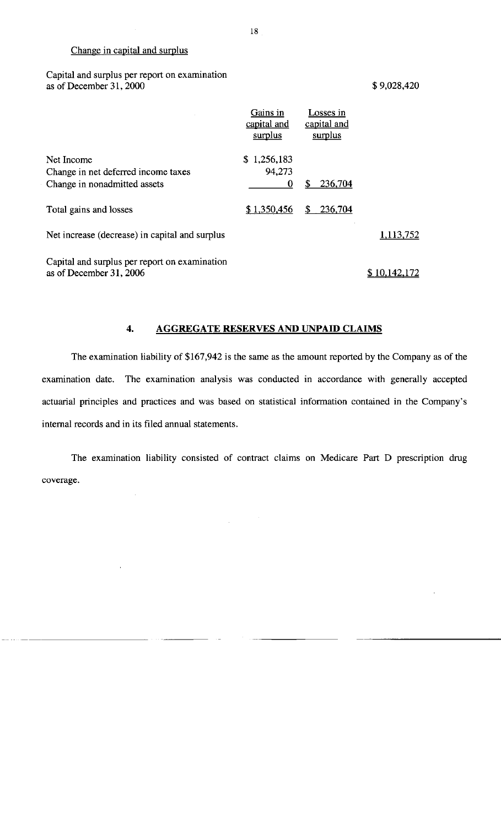#### Change in capital and surplus

Capital and surplus per report on examination as of December 31, 2000 \$9,028,420

|                                                                          | Gains in<br>capital and<br>surplus | Losses in<br>capital and<br>surplus |           |
|--------------------------------------------------------------------------|------------------------------------|-------------------------------------|-----------|
| Net Income<br>Change in net deferred income taxes                        | \$1,256,183<br>94,273              |                                     |           |
| Change in nonadmitted assets                                             | 0                                  | 236,704<br>\$                       |           |
| Total gains and losses                                                   | \$1,350,456                        | \$<br>236,704                       |           |
| Net increase (decrease) in capital and surplus                           |                                    |                                     | 1,113,752 |
| Capital and surplus per report on examination<br>as of December 31, 2006 |                                    |                                     | 10.142.   |

#### **4. AGGREGATE RESERVES AND UNPAID CLAIMS**

The examination liability of \$167,942 is the same as the amount reported by the Company as of the examination date. The examination analysis was conducted in accordance with generally accepted actuarial principles and practices and was based on statistical information contained in the Company's internal records and in its filed annual statements.

The examination liability consisted of contract claims on Medicare Part D prescription drug coverage.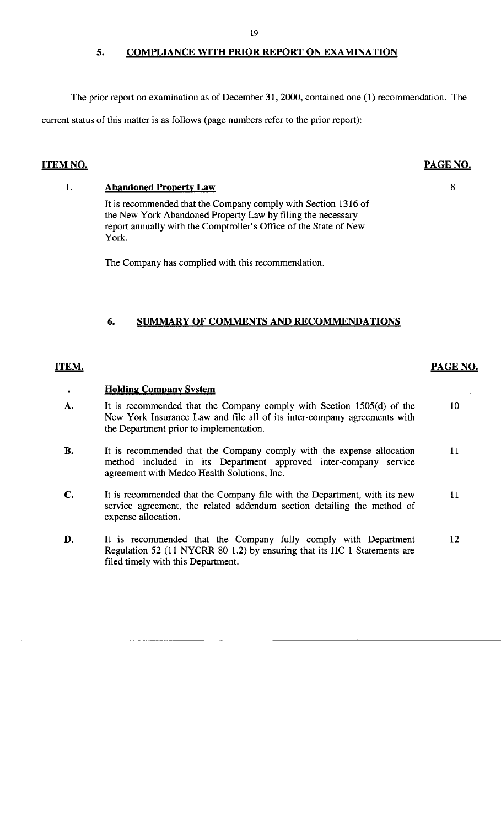### **5. COMPLIANCE WITH PRIOR REPORT ON EXAMINATION**

The prior report on examination as of December 31, 2000, contained one (l) recommendation. The current status of this matter is as follows (page numbers refer to the prior report):

### **ITEM NO.**

#### **PAGE NO.**

8

#### l. **Abandoned Property Law**

It is recommended that the Company comply with Section 1316 of the New York Abandoned Property Law by filing the necessary report annually with the Comptroller's Office of the State of New York.

The Company has complied with this recommendation.

#### **6. SUMMARY OF COMMENTS AND RECOMMENDATIONS**

#### **ITEM.**

#### **Holding Company System**

- **A.**  It is recommended that the Company comply with Section 1505(d) of the New York Insurance Law and file all of its inter-company agreements with the Department prior to implementation. 10
- **B.**  It is recommended that the Company comply with the expense allocation method included in its Department approved inter-company service agreement with Medco Health Solutions, Inc. 11
- **C.**  It is recommended that the Company file with the Department, with its new service agreement, the related addendum section detailing the method of expense allocation. 11
- **D.**  It is recommended that the Company fully comply with Department Regulation 52 (11 NYCRR 80-1.2) by ensuring that its HC l Statements are filed timely with this Department. 12

**PAGE NO.**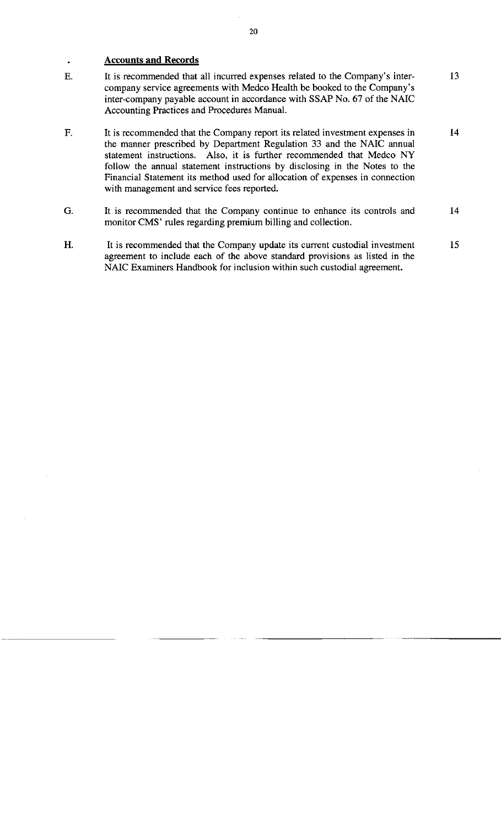#### **Accounts and Records**

 $\ddot{\phantom{0}}$ 

- E. It is recommended that all incurred expenses related to the Company's intercompany service agreements with Medco Health be booked to the Company's inter-company payable account in accordance with SSAP No. 67 of the NAIC Accounting Practices and Procedures Manual. 13
- F. It is recommended that the Company report its related investment expenses in the manner prescribed by Department Regulation 33 and the NAIC annual statement instructions. Also, it is further recommended that Medco NY follow the annual statement instructions by disclosing in the Notes to the Financial Statement its method used for allocation of expenses in connection with management and service fees reported. 14
- G. It is recommended that the Company continue to enhance its controls and monitor CMS' rules regarding premium billing and collection. 14
- H. It is recommended that the Company update its current custodial investment agreement to include each of the above standard provisions as listed in the NAIC Examiners Handbook for inclusion within such custodial agreement. 15